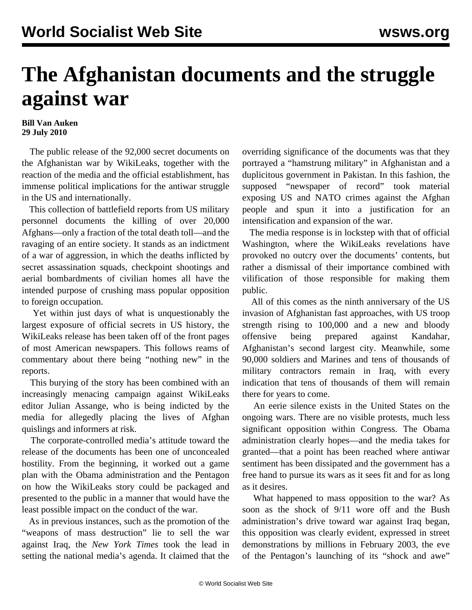## **The Afghanistan documents and the struggle against war**

## **Bill Van Auken 29 July 2010**

 The public release of the 92,000 secret documents on the Afghanistan war by WikiLeaks, together with the reaction of the media and the official establishment, has immense political implications for the antiwar struggle in the US and internationally.

 This collection of battlefield reports from US military personnel documents the killing of over 20,000 Afghans—only a fraction of the total death toll—and the ravaging of an entire society. It stands as an indictment of a war of aggression, in which the deaths inflicted by secret assassination squads, checkpoint shootings and aerial bombardments of civilian homes all have the intended purpose of crushing mass popular opposition to foreign occupation.

 Yet within just days of what is unquestionably the largest exposure of official secrets in US history, the WikiLeaks release has been taken off of the front pages of most American newspapers. This follows reams of commentary about there being "nothing new" in the reports.

 This burying of the story has been combined with an increasingly menacing campaign against WikiLeaks editor Julian Assange, who is being indicted by the media for allegedly placing the lives of Afghan quislings and informers at risk.

 The corporate-controlled media's attitude toward the release of the documents has been one of unconcealed hostility. From the beginning, it worked out a game plan with the Obama administration and the Pentagon on how the WikiLeaks story could be packaged and presented to the public in a manner that would have the least possible impact on the conduct of the war.

 As in previous instances, such as the promotion of the "weapons of mass destruction" lie to sell the war against Iraq, the *New York Times* took the lead in setting the national media's agenda. It claimed that the overriding significance of the documents was that they portrayed a "hamstrung military" in Afghanistan and a duplicitous government in Pakistan. In this fashion, the supposed "newspaper of record" took material exposing US and NATO crimes against the Afghan people and spun it into a justification for an intensification and expansion of the war.

 The media response is in lockstep with that of official Washington, where the WikiLeaks revelations have provoked no outcry over the documents' contents, but rather a dismissal of their importance combined with vilification of those responsible for making them public.

 All of this comes as the ninth anniversary of the US invasion of Afghanistan fast approaches, with US troop strength rising to 100,000 and a new and bloody offensive being prepared against Kandahar, Afghanistan's second largest city. Meanwhile, some 90,000 soldiers and Marines and tens of thousands of military contractors remain in Iraq, with every indication that tens of thousands of them will remain there for years to come.

 An eerie silence exists in the United States on the ongoing wars. There are no visible protests, much less significant opposition within Congress. The Obama administration clearly hopes—and the media takes for granted—that a point has been reached where antiwar sentiment has been dissipated and the government has a free hand to pursue its wars as it sees fit and for as long as it desires.

 What happened to mass opposition to the war? As soon as the shock of 9/11 wore off and the Bush administration's drive toward war against Iraq began, this opposition was clearly evident, expressed in street demonstrations by millions in February 2003, the eve of the Pentagon's launching of its "shock and awe"